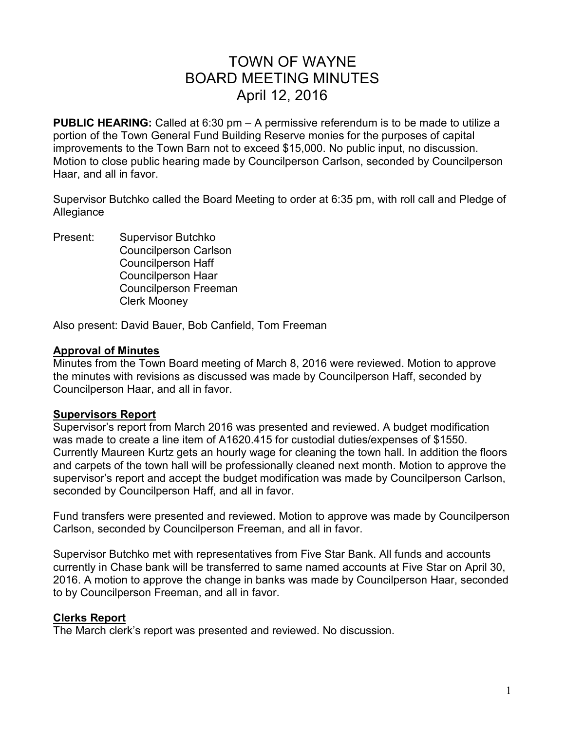# TOWN OF WAYNE BOARD MEETING MINUTES April 12, 2016

**PUBLIC HEARING:** Called at 6:30 pm – A permissive referendum is to be made to utilize a portion of the Town General Fund Building Reserve monies for the purposes of capital improvements to the Town Barn not to exceed \$15,000. No public input, no discussion. Motion to close public hearing made by Councilperson Carlson, seconded by Councilperson Haar, and all in favor.

Supervisor Butchko called the Board Meeting to order at 6:35 pm, with roll call and Pledge of **Allegiance** 

Present: Supervisor Butchko Councilperson Carlson Councilperson Haff Councilperson Haar Councilperson Freeman Clerk Mooney

Also present: David Bauer, Bob Canfield, Tom Freeman

#### **Approval of Minutes**

Minutes from the Town Board meeting of March 8, 2016 were reviewed. Motion to approve the minutes with revisions as discussed was made by Councilperson Haff, seconded by Councilperson Haar, and all in favor.

## **Supervisors Report**

Supervisor's report from March 2016 was presented and reviewed. A budget modification was made to create a line item of A1620.415 for custodial duties/expenses of \$1550. Currently Maureen Kurtz gets an hourly wage for cleaning the town hall. In addition the floors and carpets of the town hall will be professionally cleaned next month. Motion to approve the supervisor's report and accept the budget modification was made by Councilperson Carlson, seconded by Councilperson Haff, and all in favor.

Fund transfers were presented and reviewed. Motion to approve was made by Councilperson Carlson, seconded by Councilperson Freeman, and all in favor.

Supervisor Butchko met with representatives from Five Star Bank. All funds and accounts currently in Chase bank will be transferred to same named accounts at Five Star on April 30, 2016. A motion to approve the change in banks was made by Councilperson Haar, seconded to by Councilperson Freeman, and all in favor.

## **Clerks Report**

The March clerk's report was presented and reviewed. No discussion.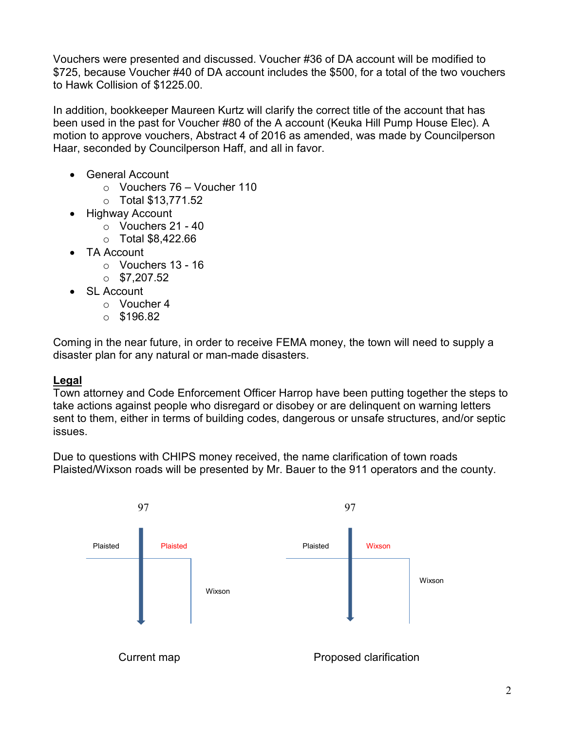Vouchers were presented and discussed. Voucher #36 of DA account will be modified to \$725, because Voucher #40 of DA account includes the \$500, for a total of the two vouchers to Hawk Collision of \$1225.00.

In addition, bookkeeper Maureen Kurtz will clarify the correct title of the account that has been used in the past for Voucher #80 of the A account (Keuka Hill Pump House Elec). A motion to approve vouchers, Abstract 4 of 2016 as amended, was made by Councilperson Haar, seconded by Councilperson Haff, and all in favor.

- General Account
	- o Vouchers 76 Voucher 110
	- o Total \$13,771.52
- Highway Account
	- $\circ$  Vouchers 21 40
	- o Total \$8,422.66
- TA Account
	- o Vouchers 13 16
	- $\circ$  \$7.207.52
- SL Account
	- o Voucher 4
	- $\circ$  \$196.82

Coming in the near future, in order to receive FEMA money, the town will need to supply a disaster plan for any natural or man-made disasters.

## **Legal**

Town attorney and Code Enforcement Officer Harrop have been putting together the steps to take actions against people who disregard or disobey or are delinquent on warning letters sent to them, either in terms of building codes, dangerous or unsafe structures, and/or septic issues.

Due to questions with CHIPS money received, the name clarification of town roads Plaisted/Wixson roads will be presented by Mr. Bauer to the 911 operators and the county.

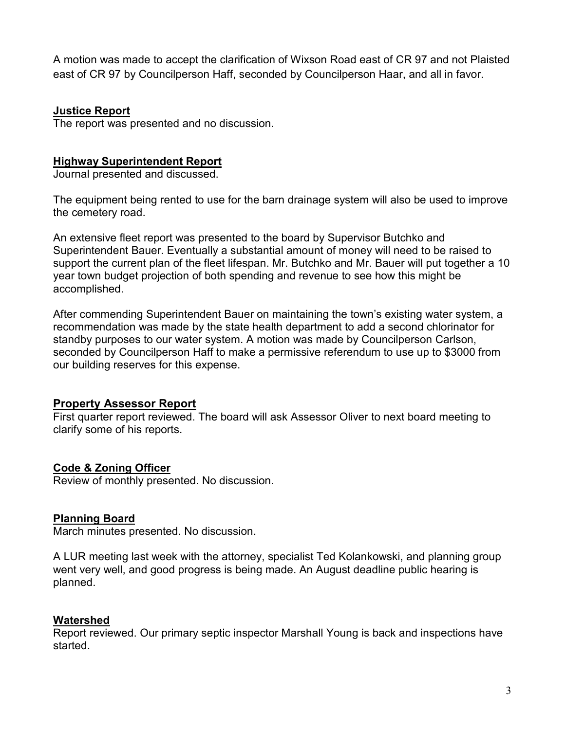A motion was made to accept the clarification of Wixson Road east of CR 97 and not Plaisted east of CR 97 by Councilperson Haff, seconded by Councilperson Haar, and all in favor.

## **Justice Report**

The report was presented and no discussion.

## **Highway Superintendent Report**

Journal presented and discussed.

The equipment being rented to use for the barn drainage system will also be used to improve the cemetery road.

An extensive fleet report was presented to the board by Supervisor Butchko and Superintendent Bauer. Eventually a substantial amount of money will need to be raised to support the current plan of the fleet lifespan. Mr. Butchko and Mr. Bauer will put together a 10 year town budget projection of both spending and revenue to see how this might be accomplished.

After commending Superintendent Bauer on maintaining the town's existing water system, a recommendation was made by the state health department to add a second chlorinator for standby purposes to our water system. A motion was made by Councilperson Carlson, seconded by Councilperson Haff to make a permissive referendum to use up to \$3000 from our building reserves for this expense.

# **Property Assessor Report**

First quarter report reviewed. The board will ask Assessor Oliver to next board meeting to clarify some of his reports.

# **Code & Zoning Officer**

Review of monthly presented. No discussion.

# **Planning Board**

March minutes presented. No discussion.

A LUR meeting last week with the attorney, specialist Ted Kolankowski, and planning group went very well, and good progress is being made. An August deadline public hearing is planned.

# **Watershed**

Report reviewed. Our primary septic inspector Marshall Young is back and inspections have started.